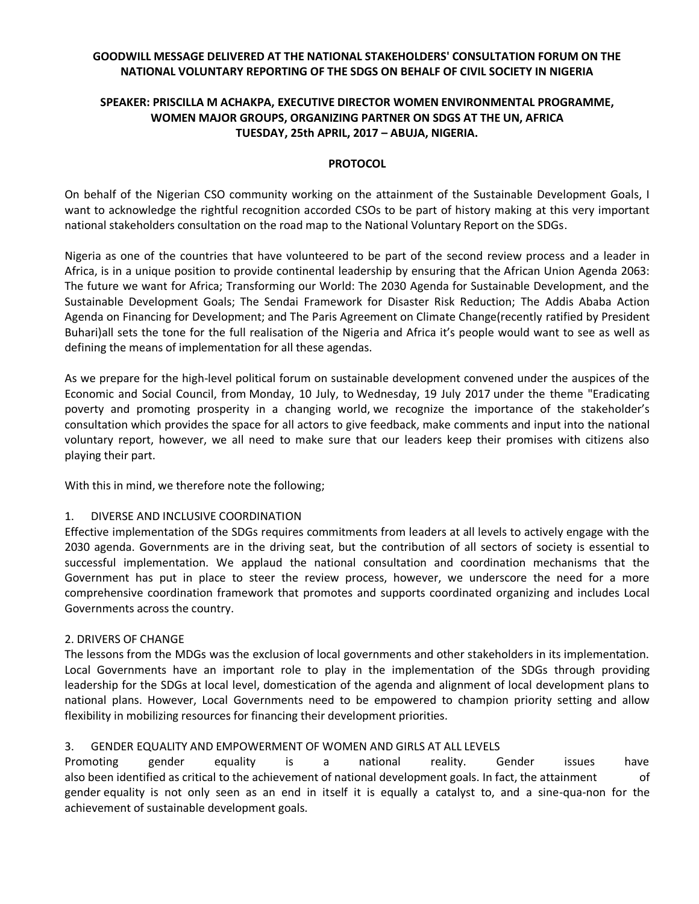# **GOODWILL MESSAGE DELIVERED AT THE NATIONAL STAKEHOLDERS' CONSULTATION FORUM ON THE NATIONAL VOLUNTARY REPORTING OF THE SDGS ON BEHALF OF CIVIL SOCIETY IN NIGERIA**

# **SPEAKER: PRISCILLA M ACHAKPA, EXECUTIVE DIRECTOR WOMEN ENVIRONMENTAL PROGRAMME, WOMEN MAJOR GROUPS, ORGANIZING PARTNER ON SDGS AT THE UN, AFRICA TUESDAY, 25th APRIL, 2017 – ABUJA, NIGERIA.**

#### **PROTOCOL**

On behalf of the Nigerian CSO community working on the attainment of the Sustainable Development Goals, I want to acknowledge the rightful recognition accorded CSOs to be part of history making at this very important national stakeholders consultation on the road map to the National Voluntary Report on the SDGs.

Nigeria as one of the countries that have volunteered to be part of the second review process and a leader in Africa, is in a unique position to provide continental leadership by ensuring that the African Union Agenda 2063: The future we want for Africa; Transforming our World: The 2030 Agenda for Sustainable Development, and the Sustainable Development Goals; The Sendai Framework for Disaster Risk Reduction; The Addis Ababa Action Agenda on Financing for Development; and The Paris Agreement on Climate Change(recently ratified by President Buhari)all sets the tone for the full realisation of the Nigeria and Africa it's people would want to see as well as defining the means of implementation for all these agendas.

As we prepare for the high-level political forum on sustainable development convened under the auspices of the Economic and Social Council, from Monday, 10 July, to Wednesday, 19 July 2017 under the theme "Eradicating poverty and promoting prosperity in a changing world, we recognize the importance of the stakeholder's consultation which provides the space for all actors to give feedback, make comments and input into the national voluntary report, however, we all need to make sure that our leaders keep their promises with citizens also playing their part.

With this in mind, we therefore note the following;

#### 1. DIVERSE AND INCLUSIVE COORDINATION

Effective implementation of the SDGs requires commitments from leaders at all levels to actively engage with the 2030 agenda. Governments are in the driving seat, but the contribution of all sectors of society is essential to successful implementation. We applaud the national consultation and coordination mechanisms that the Government has put in place to steer the review process, however, we underscore the need for a more comprehensive coordination framework that promotes and supports coordinated organizing and includes Local Governments across the country.

#### 2. DRIVERS OF CHANGE

The lessons from the MDGs was the exclusion of local governments and other stakeholders in its implementation. Local Governments have an important role to play in the implementation of the SDGs through providing leadership for the SDGs at local level, domestication of the agenda and alignment of local development plans to national plans. However, Local Governments need to be empowered to champion priority setting and allow flexibility in mobilizing resources for financing their development priorities.

#### 3. GENDER EQUALITY AND EMPOWERMENT OF WOMEN AND GIRLS AT ALL LEVELS

Promoting gender equality is a national reality. Gender issues have also been identified as critical to the achievement of national development goals. In fact, the attainment of gender equality is not only seen as an end in itself it is equally a catalyst to, and a sine-qua-non for the achievement of sustainable development goals.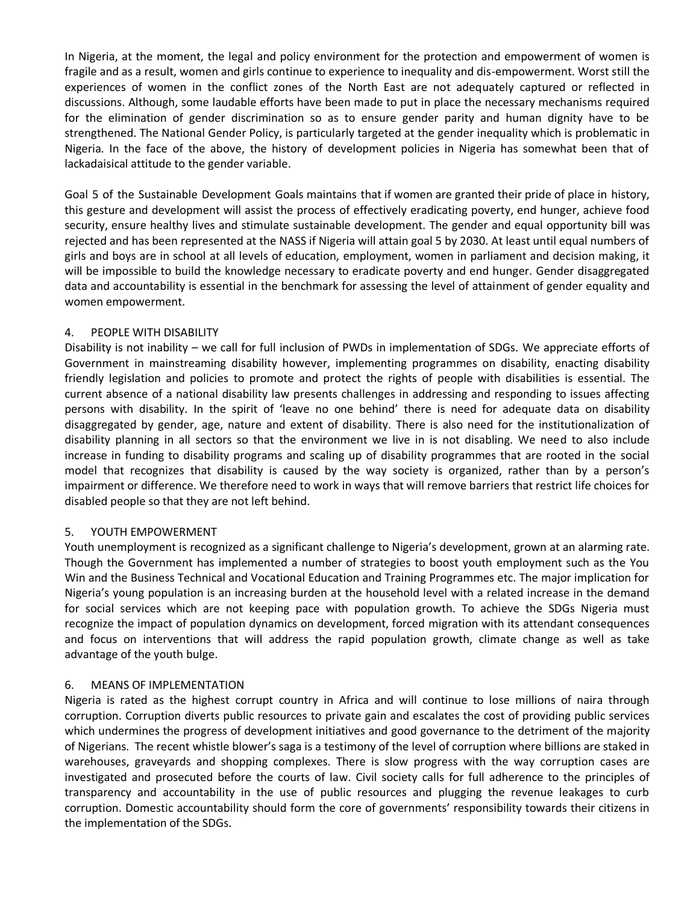In Nigeria, at the moment, the legal and policy environment for the protection and empowerment of women is fragile and as a result, women and girls continue to experience to inequality and dis-empowerment. Worst still the experiences of women in the conflict zones of the North East are not adequately captured or reflected in discussions. Although, some laudable efforts have been made to put in place the necessary mechanisms required for the elimination of gender discrimination so as to ensure gender parity and human dignity have to be strengthened. The National Gender Policy, is particularly targeted at the gender inequality which is problematic in Nigeria. In the face of the above, the history of development policies in Nigeria has somewhat been that of lackadaisical attitude to the gender variable.

Goal 5 of the Sustainable Development Goals maintains that if women are granted their pride of place in history, this gesture and development will assist the process of effectively eradicating poverty, end hunger, achieve food security, ensure healthy lives and stimulate sustainable development. The gender and equal opportunity bill was rejected and has been represented at the NASS if Nigeria will attain goal 5 by 2030. At least until equal numbers of girls and boys are in school at all levels of education, employment, women in parliament and decision making, it will be impossible to build the knowledge necessary to eradicate poverty and end hunger. Gender disaggregated data and accountability is essential in the benchmark for assessing the level of attainment of gender equality and women empowerment.

#### 4. PEOPLE WITH DISABILITY

Disability is not inability – we call for full inclusion of PWDs in implementation of SDGs. We appreciate efforts of Government in mainstreaming disability however, implementing programmes on disability, enacting disability friendly legislation and policies to promote and protect the rights of people with disabilities is essential. The current absence of a national disability law presents challenges in addressing and responding to issues affecting persons with disability. In the spirit of 'leave no one behind' there is need for adequate data on disability disaggregated by gender, age, nature and extent of disability. There is also need for the institutionalization of disability planning in all sectors so that the environment we live in is not disabling. We need to also include increase in funding to disability programs and scaling up of disability programmes that are rooted in the social model that recognizes that disability is caused by the way society is organized, rather than by a person's impairment or difference. We therefore need to work in ways that will remove barriers that restrict life choices for disabled people so that they are not left behind.

#### 5. YOUTH EMPOWERMENT

Youth unemployment is recognized as a significant challenge to Nigeria's development, grown at an alarming rate. Though the Government has implemented a number of strategies to boost youth employment such as the You Win and the Business Technical and Vocational Education and Training Programmes etc. The major implication for Nigeria's young population is an increasing burden at the household level with a related increase in the demand for social services which are not keeping pace with population growth. To achieve the SDGs Nigeria must recognize the impact of population dynamics on development, forced migration with its attendant consequences and focus on interventions that will address the rapid population growth, climate change as well as take advantage of the youth bulge.

#### 6. MEANS OF IMPLEMENTATION

Nigeria is rated as the highest corrupt country in Africa and will continue to lose millions of naira through corruption. Corruption diverts public resources to private gain and escalates the cost of providing public services which undermines the progress of development initiatives and good governance to the detriment of the majority of Nigerians. The recent whistle blower's saga is a testimony of the level of corruption where billions are staked in warehouses, graveyards and shopping complexes. There is slow progress with the way corruption cases are investigated and prosecuted before the courts of law. Civil society calls for full adherence to the principles of transparency and accountability in the use of public resources and plugging the revenue leakages to curb corruption. Domestic accountability should form the core of governments' responsibility towards their citizens in the implementation of the SDGs.